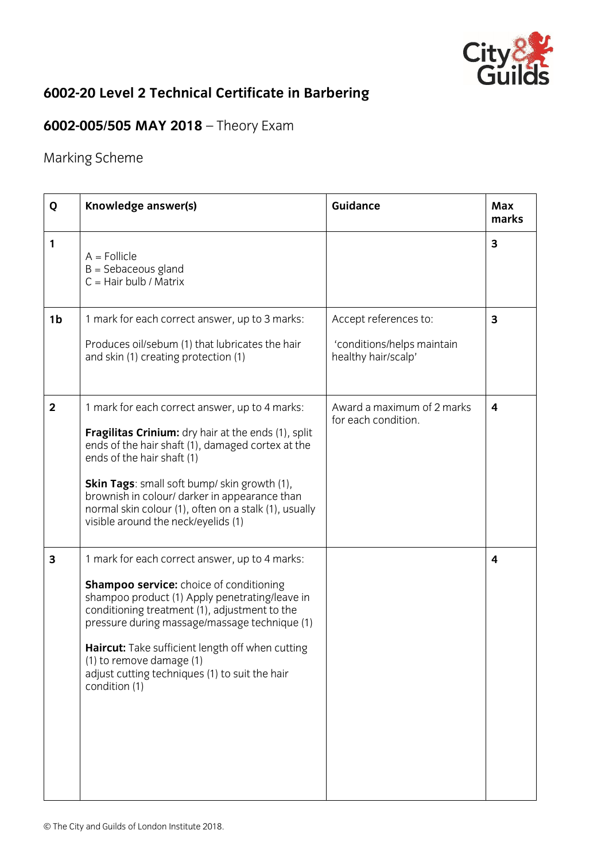

## **6002-20 Level 2 Technical Certificate in Barbering**

## **6002-005/505 MAY 2018** – Theory Exam

Marking Scheme

| Q              | Knowledge answer(s)                                                                                                                                                                                                                                                                                                                                                                                     | <b>Guidance</b>                                                            | Max<br>marks |
|----------------|---------------------------------------------------------------------------------------------------------------------------------------------------------------------------------------------------------------------------------------------------------------------------------------------------------------------------------------------------------------------------------------------------------|----------------------------------------------------------------------------|--------------|
| 1              | $A =$ Follicle<br>$B =$ Sebaceous gland<br>$C =$ Hair bulb / Matrix                                                                                                                                                                                                                                                                                                                                     |                                                                            | 3            |
| 1 <sub>b</sub> | 1 mark for each correct answer, up to 3 marks:<br>Produces oil/sebum (1) that lubricates the hair<br>and skin (1) creating protection (1)                                                                                                                                                                                                                                                               | Accept references to:<br>'conditions/helps maintain<br>healthy hair/scalp' | 3            |
| $\overline{2}$ | 1 mark for each correct answer, up to 4 marks:<br>Fragilitas Crinium: dry hair at the ends (1), split<br>ends of the hair shaft (1), damaged cortex at the<br>ends of the hair shaft (1)<br><b>Skin Tags:</b> small soft bump/ skin growth (1),<br>brownish in colour/ darker in appearance than<br>normal skin colour (1), often on a stalk (1), usually<br>visible around the neck/eyelids (1)        | Award a maximum of 2 marks<br>for each condition.                          | 4            |
| 3              | 1 mark for each correct answer, up to 4 marks:<br><b>Shampoo service:</b> choice of conditioning<br>shampoo product (1) Apply penetrating/leave in<br>conditioning treatment (1), adjustment to the<br>pressure during massage/massage technique (1)<br>Haircut: Take sufficient length off when cutting<br>(1) to remove damage (1)<br>adjust cutting techniques (1) to suit the hair<br>condition (1) |                                                                            | 4            |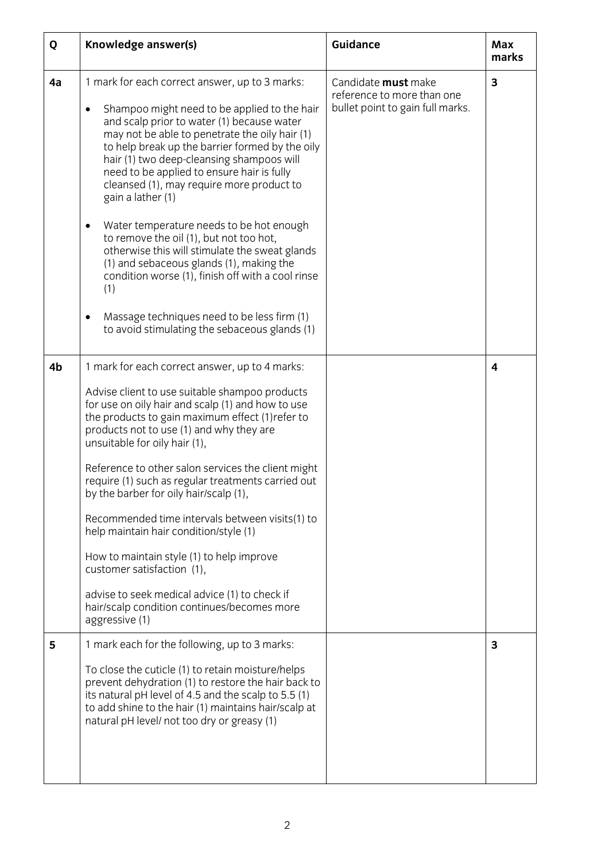| Q  | Knowledge answer(s)                                                                                                                                                                                                                                                                                                                                                                                                                                                                                                                                                                                                                                                                                                                                                                                    | <b>Guidance</b>                                                                       | Max<br>marks |
|----|--------------------------------------------------------------------------------------------------------------------------------------------------------------------------------------------------------------------------------------------------------------------------------------------------------------------------------------------------------------------------------------------------------------------------------------------------------------------------------------------------------------------------------------------------------------------------------------------------------------------------------------------------------------------------------------------------------------------------------------------------------------------------------------------------------|---------------------------------------------------------------------------------------|--------------|
| 4a | 1 mark for each correct answer, up to 3 marks:<br>Shampoo might need to be applied to the hair<br>$\bullet$<br>and scalp prior to water (1) because water<br>may not be able to penetrate the oily hair (1)<br>to help break up the barrier formed by the oily<br>hair (1) two deep-cleansing shampoos will<br>need to be applied to ensure hair is fully<br>cleansed (1), may require more product to<br>gain a lather (1)<br>Water temperature needs to be hot enough<br>$\bullet$<br>to remove the oil (1), but not too hot,<br>otherwise this will stimulate the sweat glands<br>(1) and sebaceous glands (1), making the<br>condition worse (1), finish off with a cool rinse<br>(1)<br>Massage techniques need to be less firm (1)<br>$\bullet$<br>to avoid stimulating the sebaceous glands (1) | Candidate must make<br>reference to more than one<br>bullet point to gain full marks. | 3            |
| 4b | 1 mark for each correct answer, up to 4 marks:<br>Advise client to use suitable shampoo products<br>for use on oily hair and scalp (1) and how to use<br>the products to gain maximum effect (1) refer to<br>products not to use (1) and why they are<br>unsuitable for oily hair (1),<br>Reference to other salon services the client might<br>require (1) such as regular treatments carried out<br>by the barber for oily hair/scalp (1),<br>Recommended time intervals between visits(1) to<br>help maintain hair condition/style (1)<br>How to maintain style (1) to help improve<br>customer satisfaction (1),<br>advise to seek medical advice (1) to check if<br>hair/scalp condition continues/becomes more<br>aggressive (1)                                                                 |                                                                                       | 4            |
| 5  | 1 mark each for the following, up to 3 marks:<br>To close the cuticle (1) to retain moisture/helps<br>prevent dehydration (1) to restore the hair back to<br>its natural pH level of 4.5 and the scalp to 5.5 (1)<br>to add shine to the hair (1) maintains hair/scalp at<br>natural pH level/ not too dry or greasy (1)                                                                                                                                                                                                                                                                                                                                                                                                                                                                               |                                                                                       | 3            |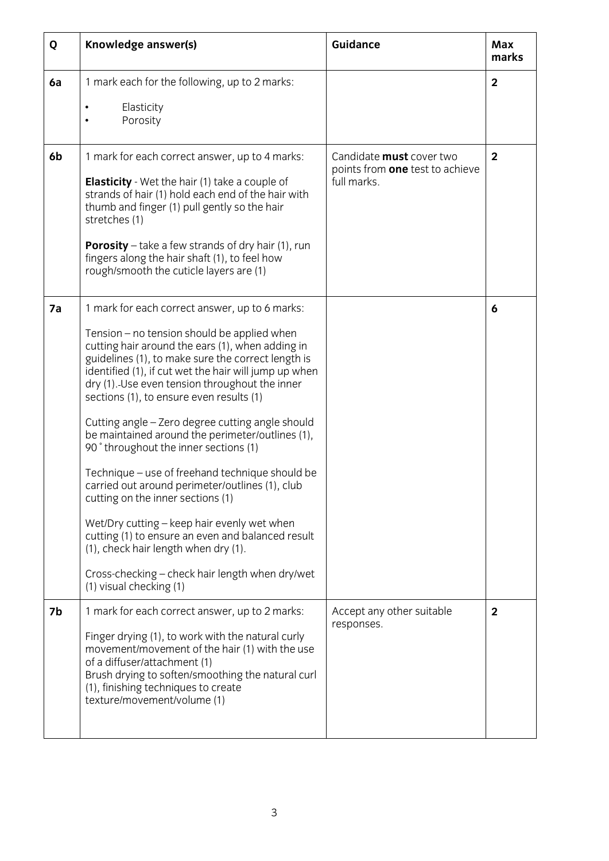| Q  | Knowledge answer(s)                                                                                                                                                                                                                                                                                                                                                                                                                                                                                                                                                                                                                                                                                                                                                                                                                                                                  | <b>Guidance</b>                                                            | Max<br>marks   |
|----|--------------------------------------------------------------------------------------------------------------------------------------------------------------------------------------------------------------------------------------------------------------------------------------------------------------------------------------------------------------------------------------------------------------------------------------------------------------------------------------------------------------------------------------------------------------------------------------------------------------------------------------------------------------------------------------------------------------------------------------------------------------------------------------------------------------------------------------------------------------------------------------|----------------------------------------------------------------------------|----------------|
| 6a | 1 mark each for the following, up to 2 marks:<br>Elasticity<br>٠<br>Porosity                                                                                                                                                                                                                                                                                                                                                                                                                                                                                                                                                                                                                                                                                                                                                                                                         |                                                                            | $\overline{2}$ |
| 6b | 1 mark for each correct answer, up to 4 marks:<br><b>Elasticity</b> - Wet the hair (1) take a couple of<br>strands of hair (1) hold each end of the hair with<br>thumb and finger (1) pull gently so the hair<br>stretches (1)<br><b>Porosity</b> – take a few strands of dry hair $(1)$ , run<br>fingers along the hair shaft (1), to feel how<br>rough/smooth the cuticle layers are (1)                                                                                                                                                                                                                                                                                                                                                                                                                                                                                           | Candidate must cover two<br>points from one test to achieve<br>full marks. | $\overline{2}$ |
| 7a | 1 mark for each correct answer, up to 6 marks:<br>Tension – no tension should be applied when<br>cutting hair around the ears (1), when adding in<br>guidelines (1), to make sure the correct length is<br>identified (1), if cut wet the hair will jump up when<br>dry (1). Use even tension throughout the inner<br>sections (1), to ensure even results (1)<br>Cutting angle - Zero degree cutting angle should<br>be maintained around the perimeter/outlines (1),<br>90° throughout the inner sections (1)<br>Technique – use of freehand technique should be<br>carried out around perimeter/outlines (1), club<br>cutting on the inner sections (1)<br>Wet/Dry cutting - keep hair evenly wet when<br>cutting (1) to ensure an even and balanced result<br>(1), check hair length when dry (1).<br>Cross-checking - check hair length when dry/wet<br>(1) visual checking (1) |                                                                            | 6              |
| 7b | 1 mark for each correct answer, up to 2 marks:<br>Finger drying (1), to work with the natural curly<br>movement/movement of the hair (1) with the use<br>of a diffuser/attachment (1)<br>Brush drying to soften/smoothing the natural curl<br>(1), finishing techniques to create<br>texture/movement/volume (1)                                                                                                                                                                                                                                                                                                                                                                                                                                                                                                                                                                     | Accept any other suitable<br>responses.                                    | $\mathbf{2}$   |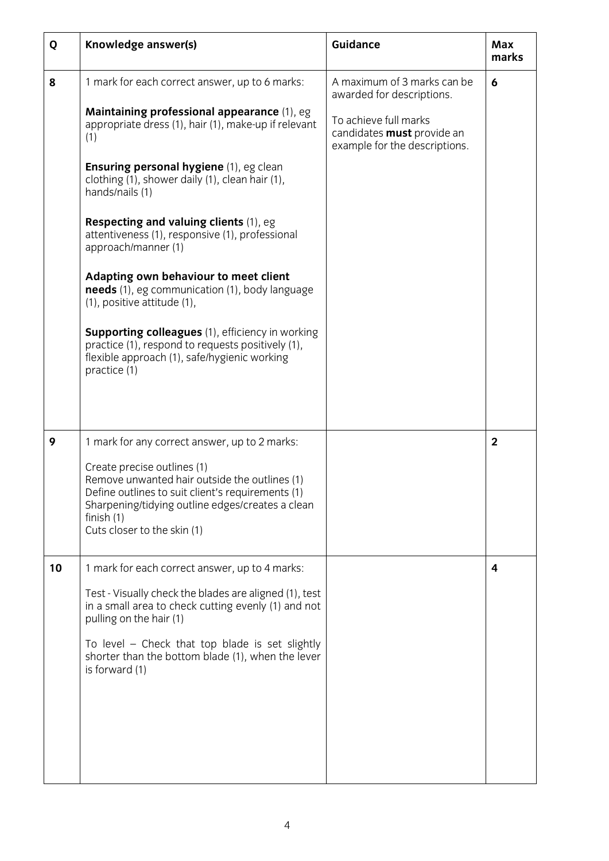| Q  | Knowledge answer(s)                                                                                                                                                                                                                                                                                                                                                                                                                                                                                                                                                                                                                                                                                         | <b>Guidance</b>                                                                                                                                  | <b>Max</b><br>marks |
|----|-------------------------------------------------------------------------------------------------------------------------------------------------------------------------------------------------------------------------------------------------------------------------------------------------------------------------------------------------------------------------------------------------------------------------------------------------------------------------------------------------------------------------------------------------------------------------------------------------------------------------------------------------------------------------------------------------------------|--------------------------------------------------------------------------------------------------------------------------------------------------|---------------------|
| 8  | 1 mark for each correct answer, up to 6 marks:<br>Maintaining professional appearance (1), eg<br>appropriate dress (1), hair (1), make-up if relevant<br>(1)<br>Ensuring personal hygiene (1), eg clean<br>clothing (1), shower daily (1), clean hair (1),<br>hands/nails (1)<br>Respecting and valuing clients (1), eg<br>attentiveness (1), responsive (1), professional<br>approach/manner (1)<br>Adapting own behaviour to meet client<br>needs (1), eg communication (1), body language<br>(1), positive attitude (1),<br><b>Supporting colleagues</b> (1), efficiency in working<br>practice (1), respond to requests positively (1),<br>flexible approach (1), safe/hygienic working<br>practice (1) | A maximum of 3 marks can be<br>awarded for descriptions.<br>To achieve full marks<br>candidates must provide an<br>example for the descriptions. | 6                   |
| 9  | 1 mark for any correct answer, up to 2 marks:<br>Create precise outlines (1)<br>Remove unwanted hair outside the outlines (1)<br>Define outlines to suit client's requirements (1)<br>Sharpening/tidying outline edges/creates a clean<br>finish $(1)$<br>Cuts closer to the skin (1)                                                                                                                                                                                                                                                                                                                                                                                                                       |                                                                                                                                                  | $\overline{2}$      |
| 10 | 1 mark for each correct answer, up to 4 marks:<br>Test - Visually check the blades are aligned (1), test<br>in a small area to check cutting evenly (1) and not<br>pulling on the hair (1)<br>To level - Check that top blade is set slightly<br>shorter than the bottom blade (1), when the lever<br>is forward (1)                                                                                                                                                                                                                                                                                                                                                                                        |                                                                                                                                                  | 4                   |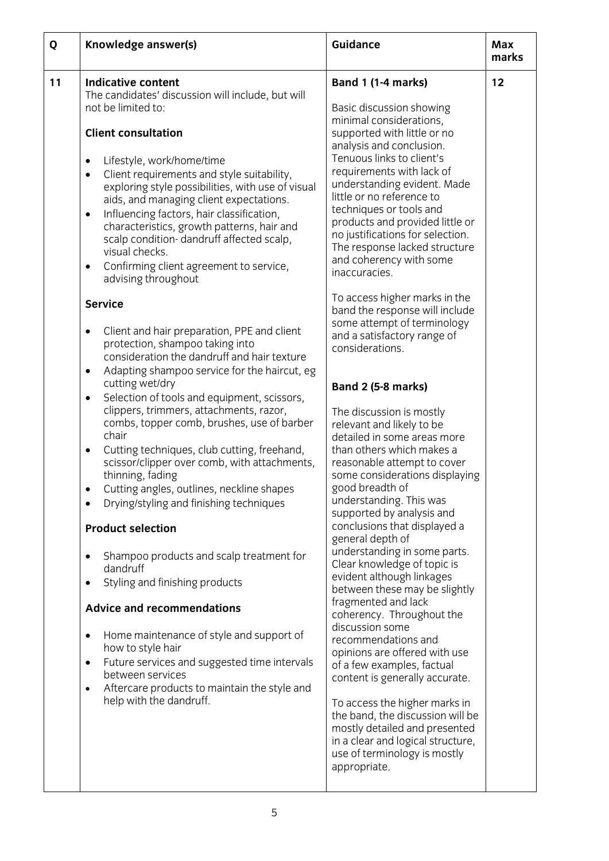| Q  | Knowledge answer(s)                                                                                                                                                                                                                                                                                                                                                                                                                                                                                                                                                                                                                                                                                                                                                                                                                                                                                                                                                                                                                                                                                                                                                                                                                                                                                                                                                                                                                                                                                                                                                                                                                                            | <b>Guidance</b>                                                                                                                                                                                                                                                                                                                                                                                                                                                                                                                                                                                                                                                                                                                                                                                                                                                                                                                                                                                                                                                                                                                                                                                                                                                                                                                                                                                                               | <b>Max</b><br>marks |
|----|----------------------------------------------------------------------------------------------------------------------------------------------------------------------------------------------------------------------------------------------------------------------------------------------------------------------------------------------------------------------------------------------------------------------------------------------------------------------------------------------------------------------------------------------------------------------------------------------------------------------------------------------------------------------------------------------------------------------------------------------------------------------------------------------------------------------------------------------------------------------------------------------------------------------------------------------------------------------------------------------------------------------------------------------------------------------------------------------------------------------------------------------------------------------------------------------------------------------------------------------------------------------------------------------------------------------------------------------------------------------------------------------------------------------------------------------------------------------------------------------------------------------------------------------------------------------------------------------------------------------------------------------------------------|-------------------------------------------------------------------------------------------------------------------------------------------------------------------------------------------------------------------------------------------------------------------------------------------------------------------------------------------------------------------------------------------------------------------------------------------------------------------------------------------------------------------------------------------------------------------------------------------------------------------------------------------------------------------------------------------------------------------------------------------------------------------------------------------------------------------------------------------------------------------------------------------------------------------------------------------------------------------------------------------------------------------------------------------------------------------------------------------------------------------------------------------------------------------------------------------------------------------------------------------------------------------------------------------------------------------------------------------------------------------------------------------------------------------------------|---------------------|
| 11 | <b>Indicative content</b><br>The candidates' discussion will include, but will<br>not be limited to:<br><b>Client consultation</b><br>Lifestyle, work/home/time<br>$\bullet$<br>Client requirements and style suitability,<br>$\bullet$<br>exploring style possibilities, with use of visual<br>aids, and managing client expectations.<br>Influencing factors, hair classification,<br>$\bullet$<br>characteristics, growth patterns, hair and<br>scalp condition-dandruff affected scalp,<br>visual checks.<br>Confirming client agreement to service,<br>$\bullet$<br>advising throughout<br><b>Service</b><br>Client and hair preparation, PPE and client<br>$\bullet$<br>protection, shampoo taking into<br>consideration the dandruff and hair texture<br>Adapting shampoo service for the haircut, eg<br>$\bullet$<br>cutting wet/dry<br>Selection of tools and equipment, scissors,<br>$\bullet$<br>clippers, trimmers, attachments, razor,<br>combs, topper comb, brushes, use of barber<br>chair<br>Cutting techniques, club cutting, freehand,<br>٠<br>scissor/clipper over comb, with attachments,<br>thinning, fading<br>Cutting angles, outlines, neckline shapes<br>Drying/styling and finishing techniques<br><b>Product selection</b><br>Shampoo products and scalp treatment for<br>$\bullet$<br>dandruff<br>Styling and finishing products<br>$\bullet$<br><b>Advice and recommendations</b><br>Home maintenance of style and support of<br>$\bullet$<br>how to style hair<br>Future services and suggested time intervals<br>$\bullet$<br>between services<br>Aftercare products to maintain the style and<br>٠<br>help with the dandruff. | <b>Band 1 (1-4 marks)</b><br>Basic discussion showing<br>minimal considerations,<br>supported with little or no<br>analysis and conclusion.<br>Tenuous links to client's<br>requirements with lack of<br>understanding evident. Made<br>little or no reference to<br>techniques or tools and<br>products and provided little or<br>no justifications for selection.<br>The response lacked structure<br>and coherency with some<br>inaccuracies.<br>To access higher marks in the<br>band the response will include<br>some attempt of terminology<br>and a satisfactory range of<br>considerations.<br><b>Band 2 (5-8 marks)</b><br>The discussion is mostly<br>relevant and likely to be<br>detailed in some areas more<br>than others which makes a<br>reasonable attempt to cover<br>some considerations displaying<br>good breadth of<br>understanding. This was<br>supported by analysis and<br>conclusions that displayed a<br>general depth of<br>understanding in some parts.<br>Clear knowledge of topic is<br>evident although linkages<br>between these may be slightly<br>fragmented and lack<br>coherency. Throughout the<br>discussion some<br>recommendations and<br>opinions are offered with use<br>of a few examples, factual<br>content is generally accurate.<br>To access the higher marks in<br>the band, the discussion will be<br>mostly detailed and presented<br>in a clear and logical structure, | 12                  |
|    |                                                                                                                                                                                                                                                                                                                                                                                                                                                                                                                                                                                                                                                                                                                                                                                                                                                                                                                                                                                                                                                                                                                                                                                                                                                                                                                                                                                                                                                                                                                                                                                                                                                                | use of terminology is mostly<br>appropriate.                                                                                                                                                                                                                                                                                                                                                                                                                                                                                                                                                                                                                                                                                                                                                                                                                                                                                                                                                                                                                                                                                                                                                                                                                                                                                                                                                                                  |                     |